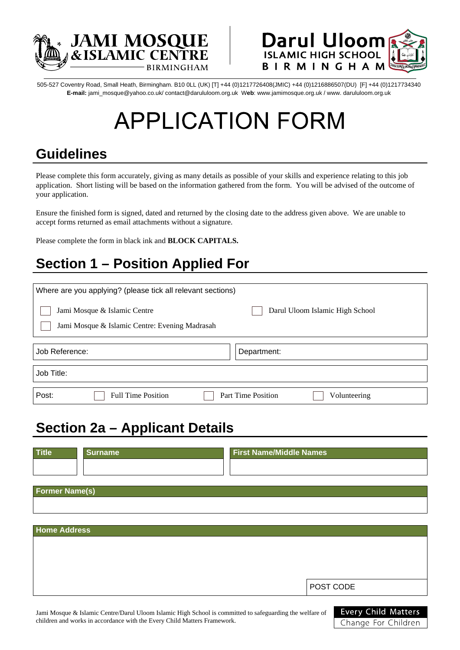



505-527 Coventry Road, Small Heath, Birmingham. B10 0LL (UK) [T] +44 (0)1217726408(JMIC) +44 (0)1216886507(DU) [F] +44 (0)1217734340 **E-mail:** jami\_mosque@yahoo.co.uk/ contact@darululoom.org.uk W**eb**: www.jamimosque.org.uk / www. darululoom.org.uk

# **APPLICATION FORM**

#### **Guidelines**

Please complete this form accurately, giving as many details as possible of your skills and experience relating to this job application. Short listing will be based on the information gathered from the form. You will be advised of the outcome of your application.

Ensure the finished form is signed, dated and returned by the closing date to the address given above. We are unable to accept forms returned as email attachments without a signature.

Please complete the form in black ink and **BLOCK CAPITALS.**

## **Section 1 – Position Applied For**

| Where are you applying? (please tick all relevant sections)                                                       |                                           |  |  |  |  |  |
|-------------------------------------------------------------------------------------------------------------------|-------------------------------------------|--|--|--|--|--|
| Jami Mosque & Islamic Centre<br>Darul Uloom Islamic High School<br>Jami Mosque & Islamic Centre: Evening Madrasah |                                           |  |  |  |  |  |
| Job Reference:<br>Department:                                                                                     |                                           |  |  |  |  |  |
| Job Title:                                                                                                        |                                           |  |  |  |  |  |
| Post:<br><b>Full Time Position</b>                                                                                | <b>Part Time Position</b><br>Volunteering |  |  |  |  |  |

#### **Section 2a – Applicant Details**

| <b>Title</b>          | <b>Surname</b> | <b>First Name/Middle Names</b> |           |
|-----------------------|----------------|--------------------------------|-----------|
|                       |                |                                |           |
|                       |                |                                |           |
| <b>Former Name(s)</b> |                |                                |           |
|                       |                |                                |           |
|                       |                |                                |           |
| <b>Home Address</b>   |                |                                |           |
|                       |                |                                |           |
|                       |                |                                |           |
|                       |                |                                |           |
|                       |                |                                | POST CODE |
|                       |                |                                |           |

Jami Mosque & Islamic Centre/Darul Uloom Islamic High School is committed to safeguarding the welfare of children and works in accordance with the Every Child Matters Framework.

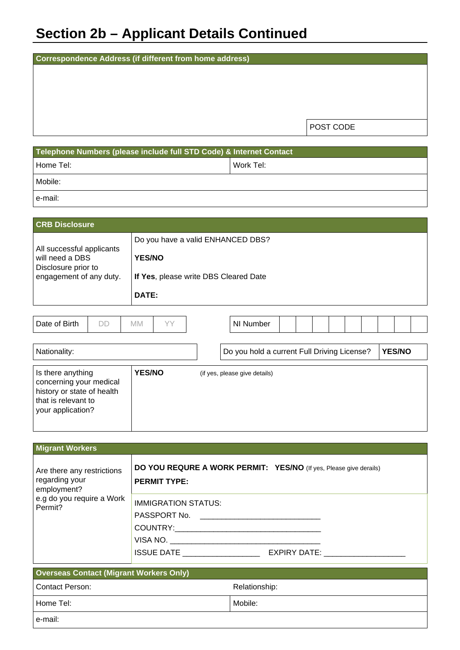## **Section 2b – Applicant Details Continued**

| Correspondence Address (if different from home address) |           |  |  |  |  |  |
|---------------------------------------------------------|-----------|--|--|--|--|--|
|                                                         |           |  |  |  |  |  |
|                                                         |           |  |  |  |  |  |
|                                                         |           |  |  |  |  |  |
|                                                         |           |  |  |  |  |  |
|                                                         | POST CODE |  |  |  |  |  |
|                                                         |           |  |  |  |  |  |

| Telephone Numbers (please include full STD Code) & Internet Contact |           |  |  |  |  |
|---------------------------------------------------------------------|-----------|--|--|--|--|
| Home Tel:                                                           | Work Tel: |  |  |  |  |
| Mobile:                                                             |           |  |  |  |  |
| e-mail:                                                             |           |  |  |  |  |

| <b>CRB Disclosure</b>                                                                          |    |                        |    |                                                                            |           |  |  |  |  |  |
|------------------------------------------------------------------------------------------------|----|------------------------|----|----------------------------------------------------------------------------|-----------|--|--|--|--|--|
| All successful applicants<br>will need a DBS<br>Disclosure prior to<br>engagement of any duty. |    | <b>YES/NO</b><br>DATE: |    | Do you have a valid ENHANCED DBS?<br>If Yes, please write DBS Cleared Date |           |  |  |  |  |  |
|                                                                                                |    |                        |    |                                                                            |           |  |  |  |  |  |
| Date of Birth                                                                                  | DD | МM                     | VV |                                                                            | NI Number |  |  |  |  |  |

| Nationality:                                                                                                           |               | Do you hold a current Full Driving License? | <b>YES/NO</b> |
|------------------------------------------------------------------------------------------------------------------------|---------------|---------------------------------------------|---------------|
| Is there anything<br>concerning your medical<br>history or state of health<br>that is relevant to<br>your application? | <b>YES/NO</b> | (if yes, please give details)               |               |
|                                                                                                                        |               |                                             |               |

| <b>Migrant Workers</b>                                      |                                                                                                                                            |
|-------------------------------------------------------------|--------------------------------------------------------------------------------------------------------------------------------------------|
| Are there any restrictions<br>regarding your<br>employment? | DO YOU REQURE A WORK PERMIT: YES/NO (If yes, Please give derails)<br><b>PERMIT TYPE:</b>                                                   |
| e.g do you require a Work<br>Permit?                        | <b>IMMIGRATION STATUS:</b><br>PASSPORT No. _________________________<br>VISA NO.<br><b>ISSUE DATE EXAMPLE AND RESIDENT</b><br>EXPIRY DATE: |

| <b>Overseas Contact (Migrant Workers Only)</b> |               |  |  |  |  |
|------------------------------------------------|---------------|--|--|--|--|
| Contact Person:                                | Relationship: |  |  |  |  |
| Home Tel:                                      | Mobile:       |  |  |  |  |
| e-mail:                                        |               |  |  |  |  |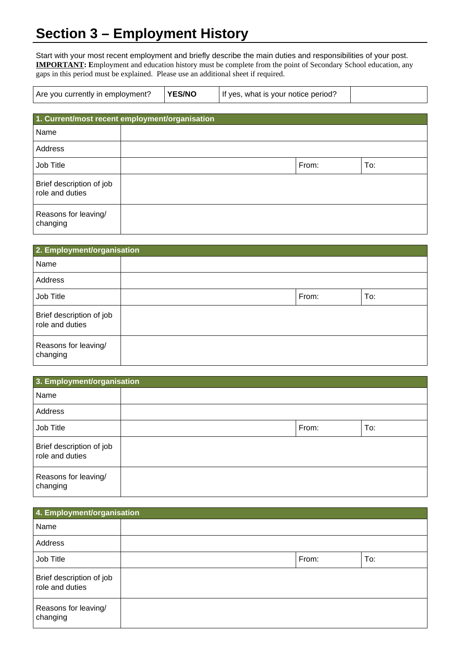## **Section 3 – Employment History**

Start with your most recent employment and briefly describe the main duties and responsibilities of your post. **IMPORTANT: E**mployment and education history must be complete from the point of Secondary School education, any gaps in this period must be explained. Please use an additional sheet if required.

| <b>YES/NO</b><br>Are you currently in employment? | If yes, what is your notice period? |  |
|---------------------------------------------------|-------------------------------------|--|
|---------------------------------------------------|-------------------------------------|--|

| 1. Current/most recent employment/organisation |  |       |     |  |  |
|------------------------------------------------|--|-------|-----|--|--|
| Name                                           |  |       |     |  |  |
| Address                                        |  |       |     |  |  |
| Job Title                                      |  | From: | To: |  |  |
| Brief description of job<br>role and duties    |  |       |     |  |  |
| Reasons for leaving/<br>changing               |  |       |     |  |  |

| 2. Employment/organisation                  |  |       |     |  |  |
|---------------------------------------------|--|-------|-----|--|--|
| Name                                        |  |       |     |  |  |
| Address                                     |  |       |     |  |  |
| Job Title                                   |  | From: | To: |  |  |
| Brief description of job<br>role and duties |  |       |     |  |  |
| Reasons for leaving/<br>changing            |  |       |     |  |  |

| 3. Employment/organisation                  |  |       |     |  |  |
|---------------------------------------------|--|-------|-----|--|--|
| Name                                        |  |       |     |  |  |
| Address                                     |  |       |     |  |  |
| Job Title                                   |  | From: | To: |  |  |
| Brief description of job<br>role and duties |  |       |     |  |  |
| Reasons for leaving/<br>changing            |  |       |     |  |  |

| 4. Employment/organisation                  |       |     |
|---------------------------------------------|-------|-----|
| Name                                        |       |     |
| Address                                     |       |     |
| Job Title                                   | From: | To: |
| Brief description of job<br>role and duties |       |     |
| Reasons for leaving/<br>changing            |       |     |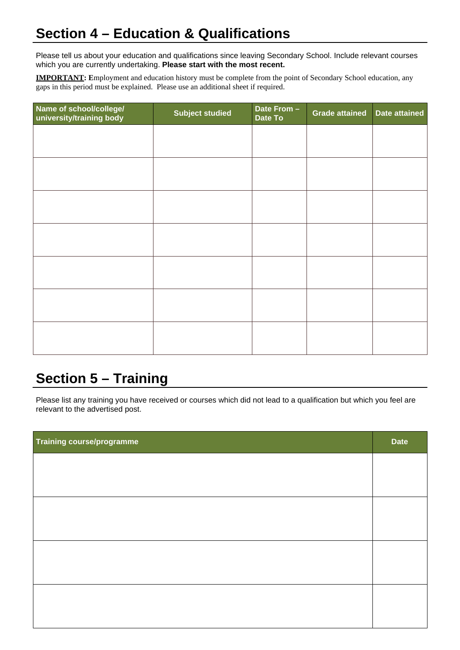#### **Section 4 – Education & Qualifications**

Please tell us about your education and qualifications since leaving Secondary School. Include relevant courses which you are currently undertaking. **Please start with the most recent.**

**IMPORTANT: E**mployment and education history must be complete from the point of Secondary School education, any gaps in this period must be explained. Please use an additional sheet if required.

| Name of school/college/<br>university/training body | <b>Subject studied</b> | Date From -<br>Date To | <b>Grade attained</b> | <b>Date attained</b> |
|-----------------------------------------------------|------------------------|------------------------|-----------------------|----------------------|
|                                                     |                        |                        |                       |                      |
|                                                     |                        |                        |                       |                      |
|                                                     |                        |                        |                       |                      |
|                                                     |                        |                        |                       |                      |
|                                                     |                        |                        |                       |                      |
|                                                     |                        |                        |                       |                      |
|                                                     |                        |                        |                       |                      |
|                                                     |                        |                        |                       |                      |
|                                                     |                        |                        |                       |                      |
|                                                     |                        |                        |                       |                      |
|                                                     |                        |                        |                       |                      |
|                                                     |                        |                        |                       |                      |
|                                                     |                        |                        |                       |                      |
|                                                     |                        |                        |                       |                      |

#### **Section 5 – Training**

Please list any training you have received or courses which did not lead to a qualification but which you feel are relevant to the advertised post.

| Training course/programme | <b>Date</b> |
|---------------------------|-------------|
|                           |             |
|                           |             |
|                           |             |
|                           |             |
|                           |             |
|                           |             |
|                           |             |
|                           |             |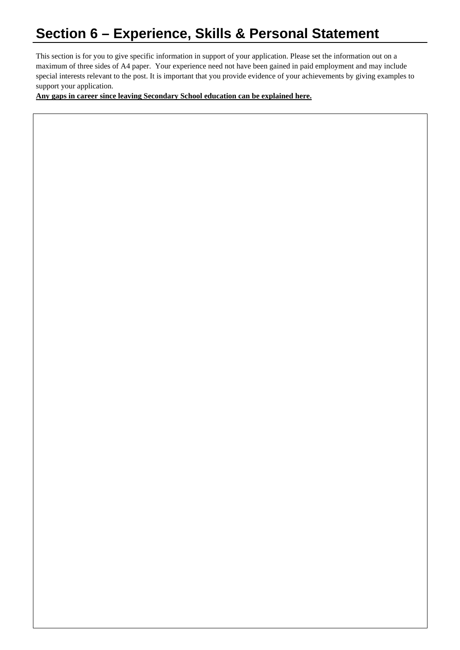#### **Section 6 – Experience, Skills & Personal Statement**

This section is for you to give specific information in support of your application. Please set the information out on a maximum of three sides of A4 paper. Your experience need not have been gained in paid employment and may include special interests relevant to the post. It is important that you provide evidence of your achievements by giving examples to support your application.

**Any gaps in career since leaving Secondary School education can be explained here.**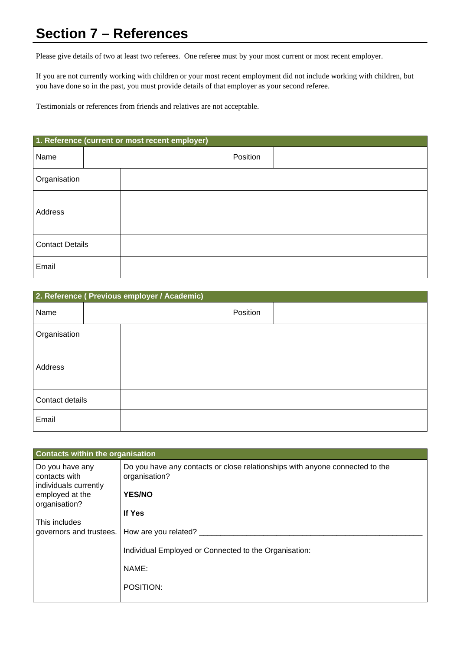#### **Section 7 – References**

Please give details of two at least two referees. One referee must by your most current or most recent employer.

If you are not currently working with children or your most recent employment did not include working with children, but you have done so in the past, you must provide details of that employer as your second referee.

Testimonials or references from friends and relatives are not acceptable.

| 1. Reference (current or most recent employer) |          |
|------------------------------------------------|----------|
| Name                                           | Position |
| Organisation                                   |          |
| Address                                        |          |
| <b>Contact Details</b>                         |          |
| Email                                          |          |

| 2. Reference ( Previous employer / Academic) |          |
|----------------------------------------------|----------|
| Name                                         | Position |
| Organisation                                 |          |
| Address                                      |          |
| Contact details                              |          |
| Email                                        |          |

| <b>Contacts within the organisation</b>                   |                                                                                               |
|-----------------------------------------------------------|-----------------------------------------------------------------------------------------------|
| Do you have any<br>contacts with<br>individuals currently | Do you have any contacts or close relationships with anyone connected to the<br>organisation? |
| employed at the<br>organisation?                          | <b>YES/NO</b>                                                                                 |
|                                                           | If Yes                                                                                        |
| This includes<br>governors and trustees.                  | How are you related?                                                                          |
|                                                           | Individual Employed or Connected to the Organisation:                                         |
|                                                           | NAME:                                                                                         |
|                                                           | POSITION:                                                                                     |
|                                                           |                                                                                               |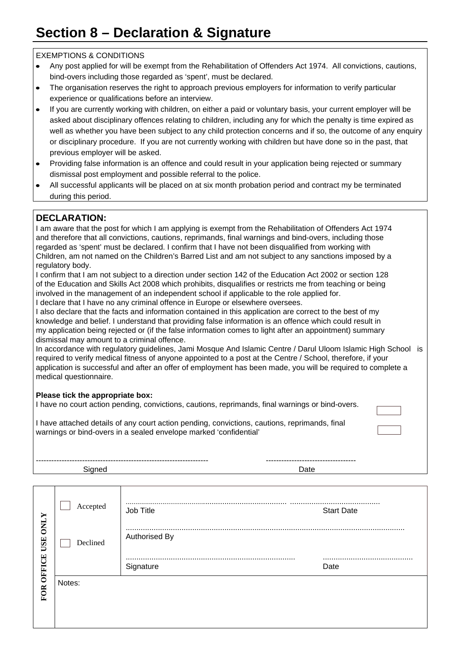#### **Section 8 – Declaration & Signature**

#### EXEMPTIONS & CONDITIONS

- Any post applied for will be exempt from the Rehabilitation of Offenders Act 1974. All convictions, cautions,  $\bullet$ bind-overs including those regarded as 'spent', must be declared.
- The organisation reserves the right to approach previous employers for information to verify particular  $\bullet$ experience or qualifications before an interview.
- If you are currently working with children, on either a paid or voluntary basis, your current employer will be asked about disciplinary offences relating to children, including any for which the penalty is time expired as well as whether you have been subject to any child protection concerns and if so, the outcome of any enquiry or disciplinary procedure. If you are not currently working with children but have done so in the past, that previous employer will be asked.
- Providing false information is an offence and could result in your application being rejected or summary dismissal post employment and possible referral to the police.
- All successful applicants will be placed on at six month probation period and contract my be terminated during this period.

#### **DECLARATION:**

| I am aware that the post for which I am applying is exempt from the Rehabilitation of Offenders Act 1974<br>and therefore that all convictions, cautions, reprimands, final warnings and bind-overs, including those<br>regarded as 'spent' must be declared. I confirm that I have not been disqualified from working with<br>Children, am not named on the Children's Barred List and am not subject to any sanctions imposed by a<br>regulatory body. |
|----------------------------------------------------------------------------------------------------------------------------------------------------------------------------------------------------------------------------------------------------------------------------------------------------------------------------------------------------------------------------------------------------------------------------------------------------------|
| I confirm that I am not subject to a direction under section 142 of the Education Act 2002 or section 128<br>of the Education and Skills Act 2008 which prohibits, disqualifies or restricts me from teaching or being<br>involved in the management of an independent school if applicable to the role applied for.<br>I declare that I have no any criminal offence in Europe or elsewhere oversees.                                                   |
| I also declare that the facts and information contained in this application are correct to the best of my<br>knowledge and belief. I understand that providing false information is an offence which could result in<br>my application being rejected or (if the false information comes to light after an appointment) summary<br>dismissal may amount to a criminal offence.                                                                           |
| In accordance with regulatory guidelines, Jami Mosque And Islamic Centre / Darul Uloom Islamic High School is<br>required to verify medical fitness of anyone appointed to a post at the Centre / School, therefore, if your<br>application is successful and after an offer of employment has been made, you will be required to complete a<br>medical questionnaire.                                                                                   |
| Please tick the appropriate box:<br>I have no court action pending, convictions, cautions, reprimands, final warnings or bind-overs.                                                                                                                                                                                                                                                                                                                     |

I have attached details of any court action pending, convictions, cautions, reprimands, final warnings or bind-overs in a sealed envelope marked 'confidential'

| ------------------- |
|---------------------|
|                     |

| X                                    | Accepted | <br>Job Title     | <b>Start Date</b> |
|--------------------------------------|----------|-------------------|-------------------|
| $\overline{\text{SM}}$<br><b>USE</b> | Declined | <br>Authorised By |                   |
|                                      |          |                   | <br>Date          |
|                                      |          | Signature         |                   |
| OFFICE                               | Notes:   |                   |                   |
| <b>FOR</b>                           |          |                   |                   |